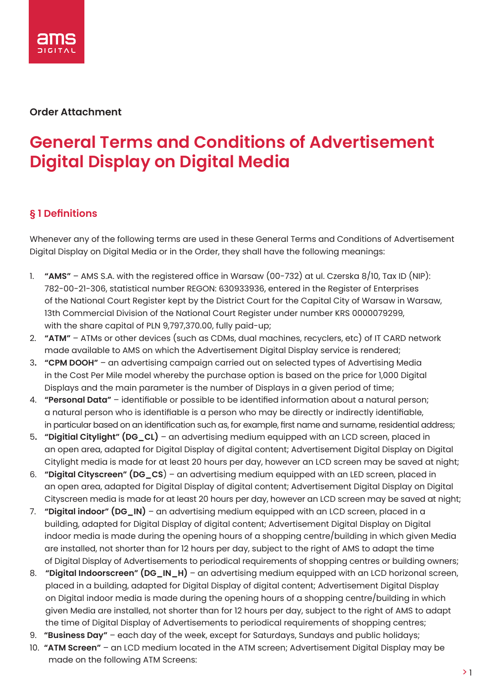### **Order Attachment**

# **General Terms and Conditions of Advertisement Digital Display on Digital Media**

## **§ 1 Definitions**

Whenever any of the following terms are used in these General Terms and Conditions of Advertisement Digital Display on Digital Media or in the Order, they shall have the following meanings:

- 1. **"AMS"** AMS S.A. with the registered office in Warsaw (00-732) at ul. Czerska 8/10, Tax ID (NIP): 782-00-21-306, statistical number REGON: 630933936, entered in the Register of Enterprises of the National Court Register kept by the District Court for the Capital City of Warsaw in Warsaw, 13th Commercial Division of the National Court Register under number KRS 0000079299, with the share capital of PLN 9,797,370.00, fully paid-up;
- 2. **"ATM"** ATMs or other devices (such as CDMs, dual machines, recyclers, etc) of IT CARD network made available to AMS on which the Advertisement Digital Display service is rendered;
- 3**. "CPM DOOH"** an advertising campaign carried out on selected types of Advertising Media in the Cost Per Mile model whereby the purchase option is based on the price for 1,000 Digital Displays and the main parameter is the number of Displays in a given period of time;
- 4. **"Personal Data"** identifiable or possible to be identified information about a natural person; a natural person who is identifiable is a person who may be directly or indirectly identifiable, in particular based on an identification such as, for example, first name and surname, residential address;
- 5**. "Digitial Citylight" (DG\_CL)** an advertising medium equipped with an LCD screen, placed in an open area, adapted for Digital Display of digital content; Advertisement Digital Display on Digital Citylight media is made for at least 20 hours per day, however an LCD screen may be saved at night;
- 6. **"Digital Cityscreen" (DG\_CS**) an advertising medium equipped with an LED screen, placed in an open area, adapted for Digital Display of digital content; Advertisement Digital Display on Digital Cityscreen media is made for at least 20 hours per day, however an LCD screen may be saved at night;
- 7. **"Digital indoor" (DG\_IN)** an advertising medium equipped with an LCD screen, placed in a building, adapted for Digital Display of digital content; Advertisement Digital Display on Digital indoor media is made during the opening hours of a shopping centre/building in which given Media are installed, not shorter than for 12 hours per day, subject to the right of AMS to adapt the time of Digital Display of Advertisements to periodical requirements of shopping centres or building owners;
- 8. **"Digital Indoorscreen" (DG\_IN\_H)**  an advertising medium equipped with an LCD horizonal screen, placed in a building, adapted for Digital Display of digital content; Advertisement Digital Display on Digital indoor media is made during the opening hours of a shopping centre/building in which given Media are installed, not shorter than for 12 hours per day, subject to the right of AMS to adapt the time of Digital Display of Advertisements to periodical requirements of shopping centres;
- 9. **"Business Day"** each day of the week, except for Saturdays, Sundays and public holidays;
- 10. **"ATM Screen"** an LCD medium located in the ATM screen; Advertisement Digital Display may be made on the following ATM Screens: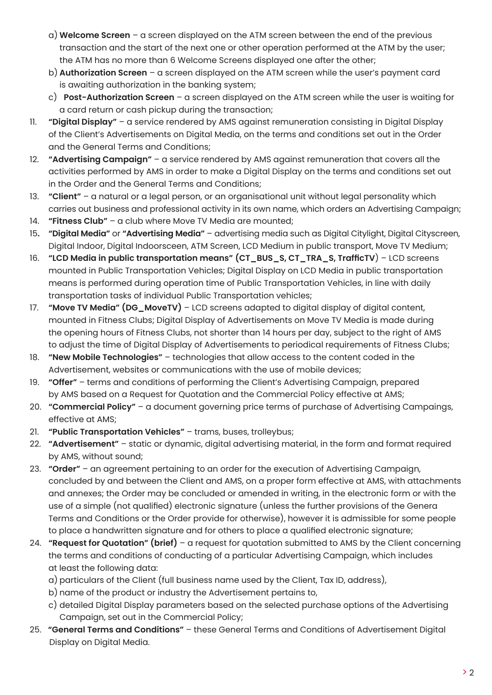- a) **Welcome Screen** a screen displayed on the ATM screen between the end of the previous transaction and the start of the next one or other operation performed at the ATM by the user; the ATM has no more than 6 Welcome Screens displayed one after the other;
- b) **Authorization Screen** a screen displayed on the ATM screen while the user's payment card is awaiting authorization in the banking system;
- c) **Post-Authorization Screen** a screen displayed on the ATM screen while the user is waiting for a card return or cash pickup during the transaction;
- 11. **"Digital Display"** a service rendered by AMS against remuneration consisting in Digital Display of the Client's Advertisements on Digital Media, on the terms and conditions set out in the Order and the General Terms and Conditions;
- 12. **"Advertising Campaign"** a service rendered by AMS against remuneration that covers all the activities performed by AMS in order to make a Digital Display on the terms and conditions set out in the Order and the General Terms and Conditions;
- 13. **"Client"** a natural or a legal person, or an organisational unit without legal personality which carries out business and professional activity in its own name, which orders an Advertising Campaign;
- 14. **"Fitness Club"** a club where Move TV Media are mounted;
- 15**. "Digital Media"** or **"Advertising Media"** advertising media such as Digital Citylight, Digital Cityscreen, Digital Indoor, Digital Indoorsceen, ATM Screen, LCD Medium in public transport, Move TV Medium;
- 16. **"LCD Media in public transportation means" (CT\_BUS\_S, CT\_TRA\_S, TrafficTV**) LCD screens mounted in Public Transportation Vehicles; Digital Display on LCD Media in public transportation means is performed during operation time of Public Transportation Vehicles, in line with daily transportation tasks of individual Public Transportation vehicles;
- 17. **"Move TV Media" (DG\_MoveTV)** LCD screens adapted to digital display of digital content, mounted in Fitness Clubs; Digital Display of Advertisements on Move TV Media is made during the opening hours of Fitness Clubs, not shorter than 14 hours per day, subject to the right of AMS to adjust the time of Digital Display of Advertisements to periodical requirements of Fitness Clubs;
- 18. **"New Mobile Technologies"** technologies that allow access to the content coded in the Advertisement, websites or communications with the use of mobile devices;
- 19. **"Offer"** terms and conditions of performing the Client's Advertising Campaign, prepared by AMS based on a Request for Quotation and the Commercial Policy effective at AMS;
- 20. **"Commercial Policy"** a document governing price terms of purchase of Advertising Campaings, effective at AMS;
- 21. **"Public Transportation Vehicles"** trams, buses, trolleybus;
- 22. **"Advertisement"** static or dynamic, digital advertising material, in the form and format required by AMS, without sound;
- 23. **"Order"** an agreement pertaining to an order for the execution of Advertising Campaign, concluded by and between the Client and AMS, on a proper form effective at AMS, with attachments and annexes; the Order may be concluded or amended in writing, in the electronic form or with the use of a simple (not qualified) electronic signature (unless the further provisions of the Genera Terms and Conditions or the Order provide for otherwise), however it is admissible for some people to place a handwritten signature and for others to place a qualified electronic signature;
- 24. **"Request for Quotation" (brief)** a request for quotation submitted to AMS by the Client concerning the terms and conditions of conducting of a particular Advertising Campaign, which includes at least the following data:
	- a) particulars of the Client (full business name used by the Client, Tax ID, address),
	- b) name of the product or industry the Advertisement pertains to,
	- c) detailed Digital Display parameters based on the selected purchase options of the Advertising Campaign, set out in the Commercial Policy;
- 25. **"General Terms and Conditions"** these General Terms and Conditions of Advertisement Digital Display on Digital Media.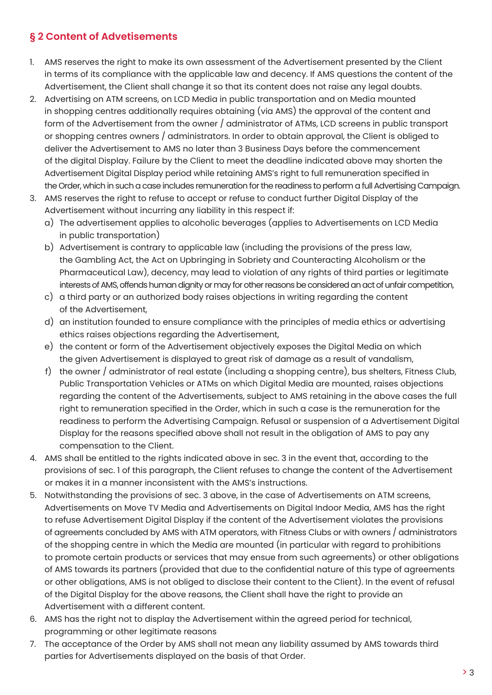## **§ 2 Content of Advetisements**

- 1. AMS reserves the right to make its own assessment of the Advertisement presented by the Client in terms of its compliance with the applicable law and decency. If AMS questions the content of the Advertisement, the Client shall change it so that its content does not raise any legal doubts.
- 2. Advertising on ATM screens, on LCD Media in public transportation and on Media mounted in shopping centres additionally requires obtaining (via AMS) the approval of the content and form of the Advertisement from the owner / administrator of ATMs, LCD screens in public transport or shopping centres owners / administrators. In order to obtain approval, the Client is obliged to deliver the Advertisement to AMS no later than 3 Business Days before the commencement of the digital Display. Failure by the Client to meet the deadline indicated above may shorten the Advertisement Digital Display period while retaining AMS's right to full remuneration specified in the Order, which in such a case includes remuneration for the readiness to perform a full Advertising Campaign.
- 3. AMS reserves the right to refuse to accept or refuse to conduct further Digital Display of the Advertisement without incurring any liability in this respect if:
	- a) The advertisement applies to alcoholic beverages (applies to Advertisements on LCD Media in public transportation)
	- b) Advertisement is contrary to applicable law (including the provisions of the press law, the Gambling Act, the Act on Upbringing in Sobriety and Counteracting Alcoholism or the Pharmaceutical Law), decency, may lead to violation of any rights of third parties or legitimate interests of AMS, offends human dignity or may for other reasons be considered an act of unfair competition,
	- c) a third party or an authorized body raises objections in writing regarding the content of the Advertisement,
	- d) an institution founded to ensure compliance with the principles of media ethics or advertising ethics raises objections regarding the Advertisement,
	- e) the content or form of the Advertisement objectively exposes the Digital Media on which the given Advertisement is displayed to great risk of damage as a result of vandalism,
	- f) the owner / administrator of real estate (including a shopping centre), bus shelters, Fitness Club, Public Transportation Vehicles or ATMs on which Digital Media are mounted, raises objections regarding the content of the Advertisements, subject to AMS retaining in the above cases the full right to remuneration specified in the Order, which in such a case is the remuneration for the readiness to perform the Advertising Campaign. Refusal or suspension of a Advertisement Digital Display for the reasons specified above shall not result in the obligation of AMS to pay any compensation to the Client.
- 4. AMS shall be entitled to the rights indicated above in sec. 3 in the event that, according to the provisions of sec. 1 of this paragraph, the Client refuses to change the content of the Advertisement or makes it in a manner inconsistent with the AMS's instructions.
- 5. Notwithstanding the provisions of sec. 3 above, in the case of Advertisements on ATM screens, Advertisements on Move TV Media and Advertisements on Digital Indoor Media, AMS has the right to refuse Advertisement Digital Display if the content of the Advertisement violates the provisions of agreements concluded by AMS with ATM operators, with Fitness Clubs or with owners / administrators of the shopping centre in which the Media are mounted (in particular with regard to prohibitions to promote certain products or services that may ensue from such agreements) or other obligations of AMS towards its partners (provided that due to the confidential nature of this type of agreements or other obligations, AMS is not obliged to disclose their content to the Client). In the event of refusal of the Digital Display for the above reasons, the Client shall have the right to provide an Advertisement with a different content.
- 6. AMS has the right not to display the Advertisement within the agreed period for technical, programming or other legitimate reasons
- 7. The acceptance of the Order by AMS shall not mean any liability assumed by AMS towards third parties for Advertisements displayed on the basis of that Order.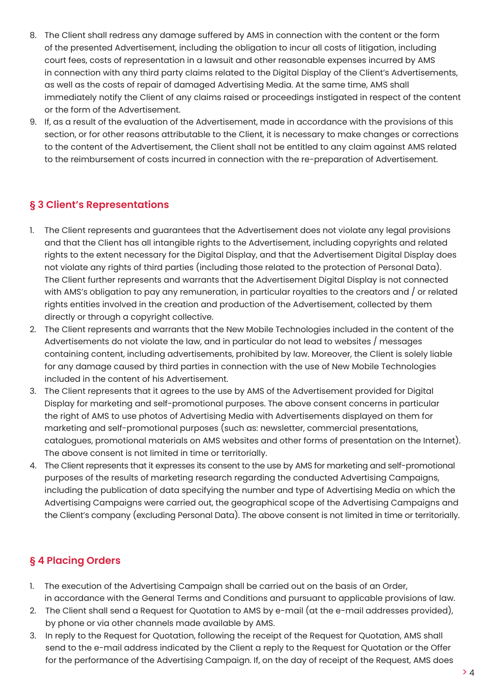- 8. The Client shall redress any damage suffered by AMS in connection with the content or the form of the presented Advertisement, including the obligation to incur all costs of litigation, including court fees, costs of representation in a lawsuit and other reasonable expenses incurred by AMS in connection with any third party claims related to the Digital Display of the Client's Advertisements, as well as the costs of repair of damaged Advertising Media. At the same time, AMS shall immediately notify the Client of any claims raised or proceedings instigated in respect of the content or the form of the Advertisement.
- 9. If, as a result of the evaluation of the Advertisement, made in accordance with the provisions of this section, or for other reasons attributable to the Client, it is necessary to make changes or corrections to the content of the Advertisement, the Client shall not be entitled to any claim against AMS related to the reimbursement of costs incurred in connection with the re-preparation of Advertisement.

## **§ 3 Client's Representations**

- 1. The Client represents and guarantees that the Advertisement does not violate any legal provisions and that the Client has all intangible rights to the Advertisement, including copyrights and related rights to the extent necessary for the Digital Display, and that the Advertisement Digital Display does not violate any rights of third parties (including those related to the protection of Personal Data). The Client further represents and warrants that the Advertisement Digital Display is not connected with AMS's obligation to pay any remuneration, in particular royalties to the creators and / or related rights entities involved in the creation and production of the Advertisement, collected by them directly or through a copyright collective.
- 2. The Client represents and warrants that the New Mobile Technologies included in the content of the Advertisements do not violate the law, and in particular do not lead to websites / messages containing content, including advertisements, prohibited by law. Moreover, the Client is solely liable for any damage caused by third parties in connection with the use of New Mobile Technologies included in the content of his Advertisement.
- 3. The Client represents that it agrees to the use by AMS of the Advertisement provided for Digital Display for marketing and self-promotional purposes. The above consent concerns in particular the right of AMS to use photos of Advertising Media with Advertisements displayed on them for marketing and self-promotional purposes (such as: newsletter, commercial presentations, catalogues, promotional materials on AMS websites and other forms of presentation on the Internet). The above consent is not limited in time or territorially.
- 4. The Client represents that it expresses its consent to the use by AMS for marketing and self-promotional purposes of the results of marketing research regarding the conducted Advertising Campaigns, including the publication of data specifying the number and type of Advertising Media on which the Advertising Campaigns were carried out, the geographical scope of the Advertising Campaigns and the Client's company (excluding Personal Data). The above consent is not limited in time or territorially.

# **§ 4 Placing Orders**

- 1. The execution of the Advertising Campaign shall be carried out on the basis of an Order, in accordance with the General Terms and Conditions and pursuant to applicable provisions of law.
- 2. The Client shall send a Request for Quotation to AMS by e-mail (at the e-mail addresses provided), by phone or via other channels made available by AMS.
- 3. In reply to the Request for Quotation, following the receipt of the Request for Quotation, AMS shall send to the e-mail address indicated by the Client a reply to the Request for Quotation or the Offer for the performance of the Advertising Campaign. If, on the day of receipt of the Request, AMS does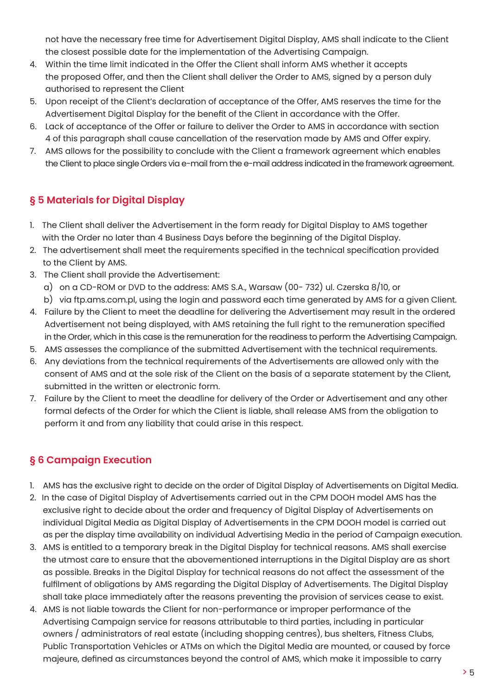not have the necessary free time for Advertisement Digital Display, AMS shall indicate to the Client the closest possible date for the implementation of the Advertising Campaign.

- 4. Within the time limit indicated in the Offer the Client shall inform AMS whether it accepts the proposed Offer, and then the Client shall deliver the Order to AMS, signed by a person duly authorised to represent the Client
- 5. Upon receipt of the Client's declaration of acceptance of the Offer, AMS reserves the time for the Advertisement Digital Display for the benefit of the Client in accordance with the Offer.
- 6. Lack of acceptance of the Offer or failure to deliver the Order to AMS in accordance with section 4 of this paragraph shall cause cancellation of the reservation made by AMS and Offer expiry.
- 7. AMS allows for the possibility to conclude with the Client a framework agreement which enables the Client to place single Orders via e-mail from the e-mail address indicated in the framework agreement.

## **§ 5 Materials for Digital Display**

- 1. The Client shall deliver the Advertisement in the form ready for Digital Display to AMS together with the Order no later than 4 Business Days before the beginning of the Digital Display.
- 2. The advertisement shall meet the requirements specified in the technical specification provided to the Client by AMS.
- 3. The Client shall provide the Advertisement:
	- a) on a CD-ROM or DVD to the address: AMS S.A., Warsaw (00- 732) ul. Czerska 8/10, or
	- b) via ftp.ams.com.pl, using the login and password each time generated by AMS for a given Client.
- 4. Failure by the Client to meet the deadline for delivering the Advertisement may result in the ordered Advertisement not being displayed, with AMS retaining the full right to the remuneration specified in the Order, which in this case is the remuneration for the readiness to perform the Advertising Campaign.
- 5. AMS assesses the compliance of the submitted Advertisement with the technical requirements.
- 6. Any deviations from the technical requirements of the Advertisements are allowed only with the consent of AMS and at the sole risk of the Client on the basis of a separate statement by the Client, submitted in the written or electronic form.
- 7. Failure by the Client to meet the deadline for delivery of the Order or Advertisement and any other formal defects of the Order for which the Client is liable, shall release AMS from the obligation to perform it and from any liability that could arise in this respect.

#### **§ 6 Campaign Execution**

- 1. AMS has the exclusive right to decide on the order of Digital Display of Advertisements on Digital Media.
- 2. In the case of Digital Display of Advertisements carried out in the CPM DOOH model AMS has the exclusive right to decide about the order and frequency of Digital Display of Advertisements on individual Digital Media as Digital Display of Advertisements in the CPM DOOH model is carried out as per the display time availability on individual Advertising Media in the period of Campaign execution.
- 3. AMS is entitled to a temporary break in the Digital Display for technical reasons. AMS shall exercise the utmost care to ensure that the abovementioned interruptions in the Digital Display are as short as possible. Breaks in the Digital Display for technical reasons do not affect the assessment of the fulfilment of obligations by AMS regarding the Digital Display of Advertisements. The Digital Display shall take place immediately after the reasons preventing the provision of services cease to exist.
- 4. AMS is not liable towards the Client for non-performance or improper performance of the Advertising Campaign service for reasons attributable to third parties, including in particular owners / administrators of real estate (including shopping centres), bus shelters, Fitness Clubs, Public Transportation Vehicles or ATMs on which the Digital Media are mounted, or caused by force majeure, defined as circumstances beyond the control of AMS, which make it impossible to carry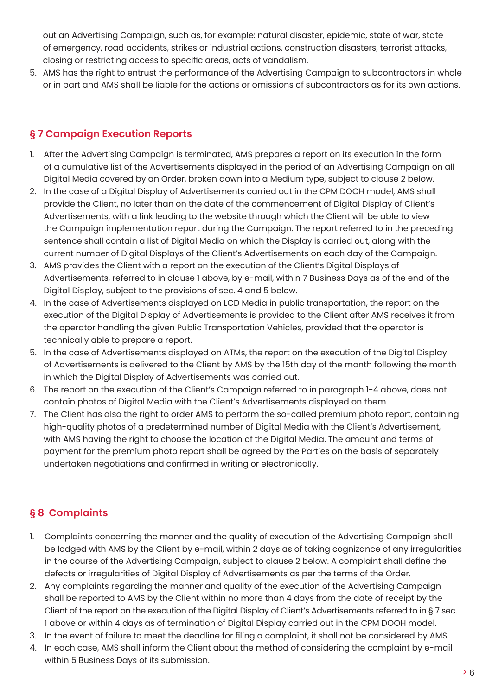out an Advertising Campaign, such as, for example: natural disaster, epidemic, state of war, state of emergency, road accidents, strikes or industrial actions, construction disasters, terrorist attacks, closing or restricting access to specific areas, acts of vandalism.

5. AMS has the right to entrust the performance of the Advertising Campaign to subcontractors in whole or in part and AMS shall be liable for the actions or omissions of subcontractors as for its own actions.

## **§ 7 Campaign Execution Reports**

- 1. After the Advertising Campaign is terminated, AMS prepares a report on its execution in the form of a cumulative list of the Advertisements displayed in the period of an Advertising Campaign on all Digital Media covered by an Order, broken down into a Medium type, subject to clause 2 below.
- 2. In the case of a Digital Display of Advertisements carried out in the CPM DOOH model, AMS shall provide the Client, no later than on the date of the commencement of Digital Display of Client's Advertisements, with a link leading to the website through which the Client will be able to view the Campaign implementation report during the Campaign. The report referred to in the preceding sentence shall contain a list of Digital Media on which the Display is carried out, along with the current number of Digital Displays of the Client's Advertisements on each day of the Campaign.
- 3. AMS provides the Client with a report on the execution of the Client's Digital Displays of Advertisements, referred to in clause 1 above, by e-mail, within 7 Business Days as of the end of the Digital Display, subject to the provisions of sec. 4 and 5 below.
- 4. In the case of Advertisements displayed on LCD Media in public transportation, the report on the execution of the Digital Display of Advertisements is provided to the Client after AMS receives it from the operator handling the given Public Transportation Vehicles, provided that the operator is technically able to prepare a report.
- 5. In the case of Advertisements displayed on ATMs, the report on the execution of the Digital Display of Advertisements is delivered to the Client by AMS by the 15th day of the month following the month in which the Digital Display of Advertisements was carried out.
- 6. The report on the execution of the Client's Campaign referred to in paragraph 1-4 above, does not contain photos of Digital Media with the Client's Advertisements displayed on them.
- 7. The Client has also the right to order AMS to perform the so-called premium photo report, containing high-quality photos of a predetermined number of Digital Media with the Client's Advertisement, with AMS having the right to choose the location of the Digital Media. The amount and terms of payment for the premium photo report shall be agreed by the Parties on the basis of separately undertaken negotiations and confirmed in writing or electronically.

# **§ 8 Complaints**

- 1. Complaints concerning the manner and the quality of execution of the Advertising Campaign shall be lodged with AMS by the Client by e-mail, within 2 days as of taking cognizance of any irregularities in the course of the Advertising Campaign, subject to clause 2 below. A complaint shall define the defects or irregularities of Digital Display of Advertisements as per the terms of the Order.
- 2. Any complaints regarding the manner and quality of the execution of the Advertising Campaign shall be reported to AMS by the Client within no more than 4 days from the date of receipt by the Client of the report on the execution of the Digital Display of Client's Advertisements referred to in § 7 sec. 1 above or within 4 days as of termination of Digital Display carried out in the CPM DOOH model.
- 3. In the event of failure to meet the deadline for filing a complaint, it shall not be considered by AMS.
- 4. In each case, AMS shall inform the Client about the method of considering the complaint by e-mail within 5 Business Days of its submission.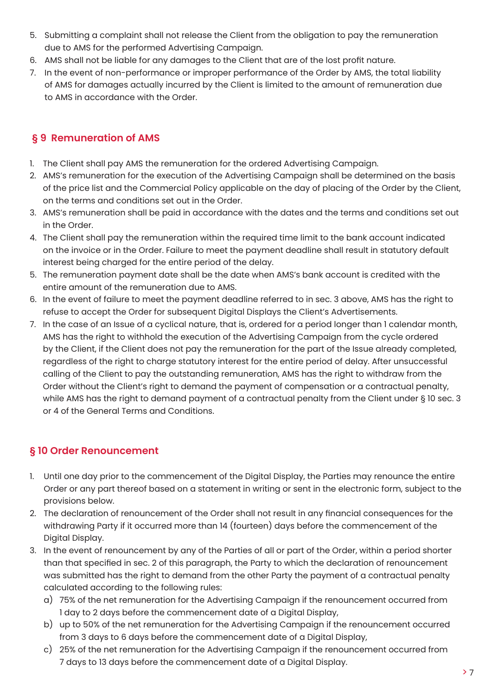- 5. Submitting a complaint shall not release the Client from the obligation to pay the remuneration due to AMS for the performed Advertising Campaign.
- 6. AMS shall not be liable for any damages to the Client that are of the lost profit nature.
- 7. In the event of non-performance or improper performance of the Order by AMS, the total liability of AMS for damages actually incurred by the Client is limited to the amount of remuneration due to AMS in accordance with the Order.

## **§ 9 Remuneration of AMS**

- 1. The Client shall pay AMS the remuneration for the ordered Advertising Campaign.
- 2. AMS's remuneration for the execution of the Advertising Campaign shall be determined on the basis of the price list and the Commercial Policy applicable on the day of placing of the Order by the Client, on the terms and conditions set out in the Order.
- 3. AMS's remuneration shall be paid in accordance with the dates and the terms and conditions set out in the Order.
- 4. The Client shall pay the remuneration within the required time limit to the bank account indicated on the invoice or in the Order. Failure to meet the payment deadline shall result in statutory default interest being charged for the entire period of the delay.
- 5. The remuneration payment date shall be the date when AMS's bank account is credited with the entire amount of the remuneration due to AMS.
- 6. In the event of failure to meet the payment deadline referred to in sec. 3 above, AMS has the right to refuse to accept the Order for subsequent Digital Displays the Client's Advertisements.
- 7. In the case of an Issue of a cyclical nature, that is, ordered for a period longer than 1 calendar month, AMS has the right to withhold the execution of the Advertising Campaign from the cycle ordered by the Client, if the Client does not pay the remuneration for the part of the Issue already completed, regardless of the right to charge statutory interest for the entire period of delay. After unsuccessful calling of the Client to pay the outstanding remuneration, AMS has the right to withdraw from the Order without the Client's right to demand the payment of compensation or a contractual penalty, while AMS has the right to demand payment of a contractual penalty from the Client under § 10 sec. 3 or 4 of the General Terms and Conditions.

# **§ 10 Order Renouncement**

- 1. Until one day prior to the commencement of the Digital Display, the Parties may renounce the entire Order or any part thereof based on a statement in writing or sent in the electronic form, subject to the provisions below.
- 2. The declaration of renouncement of the Order shall not result in any financial consequences for the withdrawing Party if it occurred more than 14 (fourteen) days before the commencement of the Digital Display.
- 3. In the event of renouncement by any of the Parties of all or part of the Order, within a period shorter than that specified in sec. 2 of this paragraph, the Party to which the declaration of renouncement was submitted has the right to demand from the other Party the payment of a contractual penalty calculated according to the following rules:
	- a) 75% of the net remuneration for the Advertising Campaign if the renouncement occurred from 1 day to 2 days before the commencement date of a Digital Display,
	- b) up to 50% of the net remuneration for the Advertising Campaign if the renouncement occurred from 3 days to 6 days before the commencement date of a Digital Display,
	- c) 25% of the net remuneration for the Advertising Campaign if the renouncement occurred from 7 days to 13 days before the commencement date of a Digital Display.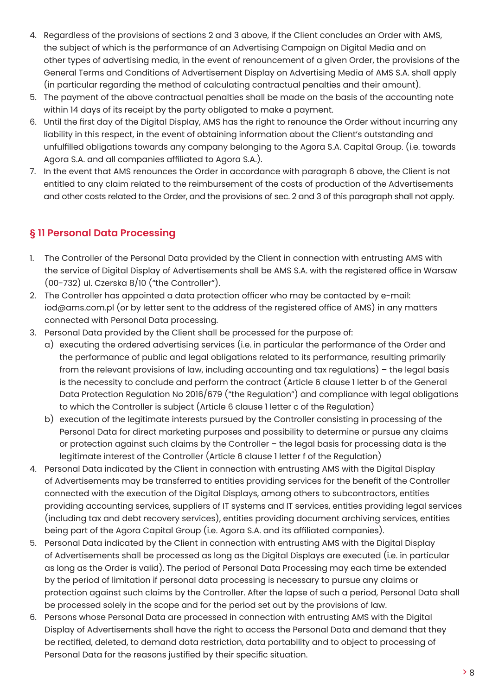- 4. Regardless of the provisions of sections 2 and 3 above, if the Client concludes an Order with AMS, the subject of which is the performance of an Advertising Campaign on Digital Media and on other types of advertising media, in the event of renouncement of a given Order, the provisions of the General Terms and Conditions of Advertisement Display on Advertising Media of AMS S.A. shall apply (in particular regarding the method of calculating contractual penalties and their amount).
- 5. The payment of the above contractual penalties shall be made on the basis of the accounting note within 14 days of its receipt by the party obligated to make a payment.
- 6. Until the first day of the Digital Display, AMS has the right to renounce the Order without incurring any liability in this respect, in the event of obtaining information about the Client's outstanding and unfulfilled obligations towards any company belonging to the Agora S.A. Capital Group. (i.e. towards Agora S.A. and all companies affiliated to Agora S.A.).
- 7. In the event that AMS renounces the Order in accordance with paragraph 6 above, the Client is not entitled to any claim related to the reimbursement of the costs of production of the Advertisements and other costs related to the Order, and the provisions of sec. 2 and 3 of this paragraph shall not apply.

## **§ 11 Personal Data Processing**

- 1. The Controller of the Personal Data provided by the Client in connection with entrusting AMS with the service of Digital Display of Advertisements shall be AMS S.A. with the registered office in Warsaw (00-732) ul. Czerska 8/10 ("the Controller").
- 2. The Controller has appointed a data protection officer who may be contacted by e-mail: iod@ams.com.pl (or by letter sent to the address of the registered office of AMS) in any matters connected with Personal Data processing.
- 3. Personal Data provided by the Client shall be processed for the purpose of:
	- a) executing the ordered advertising services (i.e. in particular the performance of the Order and the performance of public and legal obligations related to its performance, resulting primarily from the relevant provisions of law, including accounting and tax regulations) – the legal basis is the necessity to conclude and perform the contract (Article 6 clause 1 letter b of the General Data Protection Regulation No 2016/679 ("the Regulation") and compliance with legal obligations to which the Controller is subject (Article 6 clause 1 letter c of the Regulation)
	- b) execution of the legitimate interests pursued by the Controller consisting in processing of the Personal Data for direct marketing purposes and possibility to determine or pursue any claims or protection against such claims by the Controller – the legal basis for processing data is the legitimate interest of the Controller (Article 6 clause 1 letter f of the Regulation)
- 4. Personal Data indicated by the Client in connection with entrusting AMS with the Digital Display of Advertisements may be transferred to entities providing services for the benefit of the Controller connected with the execution of the Digital Displays, among others to subcontractors, entities providing accounting services, suppliers of IT systems and IT services, entities providing legal services (including tax and debt recovery services), entities providing document archiving services, entities being part of the Agora Capital Group (i.e. Agora S.A. and its affiliated companies).
- 5. Personal Data indicated by the Client in connection with entrusting AMS with the Digital Display of Advertisements shall be processed as long as the Digital Displays are executed (i.e. in particular as long as the Order is valid). The period of Personal Data Processing may each time be extended by the period of limitation if personal data processing is necessary to pursue any claims or protection against such claims by the Controller. After the lapse of such a period, Personal Data shall be processed solely in the scope and for the period set out by the provisions of law.
- 6. Persons whose Personal Data are processed in connection with entrusting AMS with the Digital Display of Advertisements shall have the right to access the Personal Data and demand that they be rectified, deleted, to demand data restriction, data portability and to object to processing of Personal Data for the reasons justified by their specific situation.